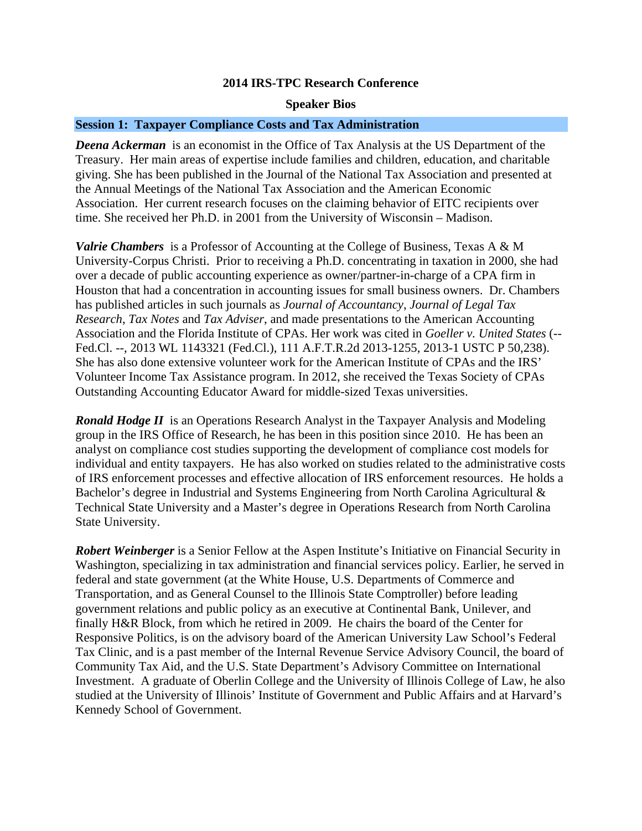## **2014 IRS-TPC Research Conference**

### **Speaker Bios**

## **Session 1: Taxpayer Compliance Costs and Tax Administration**

*Deena Ackerman* is an economist in the Office of Tax Analysis at the US Department of the Treasury. Her main areas of expertise include families and children, education, and charitable giving. She has been published in the Journal of the National Tax Association and presented at the Annual Meetings of the National Tax Association and the American Economic Association. Her current research focuses on the claiming behavior of EITC recipients over time. She received her Ph.D. in 2001 from the University of Wisconsin – Madison.

*Valrie Chambers* is a Professor of Accounting at the College of Business, Texas A & M University-Corpus Christi. Prior to receiving a Ph.D. concentrating in taxation in 2000, she had over a decade of public accounting experience as owner/partner-in-charge of a CPA firm in Houston that had a concentration in accounting issues for small business owners. Dr. Chambers has published articles in such journals as *Journal of Accountancy*, *Journal of Legal Tax Research*, *Tax Notes* and *Tax Adviser*, and made presentations to the American Accounting Association and the Florida Institute of CPAs. Her work was cited in *Goeller v. United States* (-- Fed.Cl. --, 2013 WL 1143321 (Fed.Cl.), 111 A.F.T.R.2d 2013-1255, 2013-1 USTC P 50,238). She has also done extensive volunteer work for the American Institute of CPAs and the IRS' Volunteer Income Tax Assistance program. In 2012, she received the Texas Society of CPAs Outstanding Accounting Educator Award for middle-sized Texas universities.

*Ronald Hodge II* is an Operations Research Analyst in the Taxpayer Analysis and Modeling group in the IRS Office of Research, he has been in this position since 2010. He has been an analyst on compliance cost studies supporting the development of compliance cost models for individual and entity taxpayers. He has also worked on studies related to the administrative costs of IRS enforcement processes and effective allocation of IRS enforcement resources. He holds a Bachelor's degree in Industrial and Systems Engineering from North Carolina Agricultural & Technical State University and a Master's degree in Operations Research from North Carolina State University.

*Robert Weinberger* is a Senior Fellow at the Aspen Institute's Initiative on Financial Security in Washington, specializing in tax administration and financial services policy. Earlier, he served in federal and state government (at the White House, U.S. Departments of Commerce and Transportation, and as General Counsel to the Illinois State Comptroller) before leading government relations and public policy as an executive at Continental Bank, Unilever, and finally H&R Block, from which he retired in 2009. He chairs the board of the Center for Responsive Politics, is on the advisory board of the American University Law School's Federal Tax Clinic, and is a past member of the Internal Revenue Service Advisory Council, the board of Community Tax Aid, and the U.S. State Department's Advisory Committee on International Investment. A graduate of Oberlin College and the University of Illinois College of Law, he also studied at the University of Illinois' Institute of Government and Public Affairs and at Harvard's Kennedy School of Government.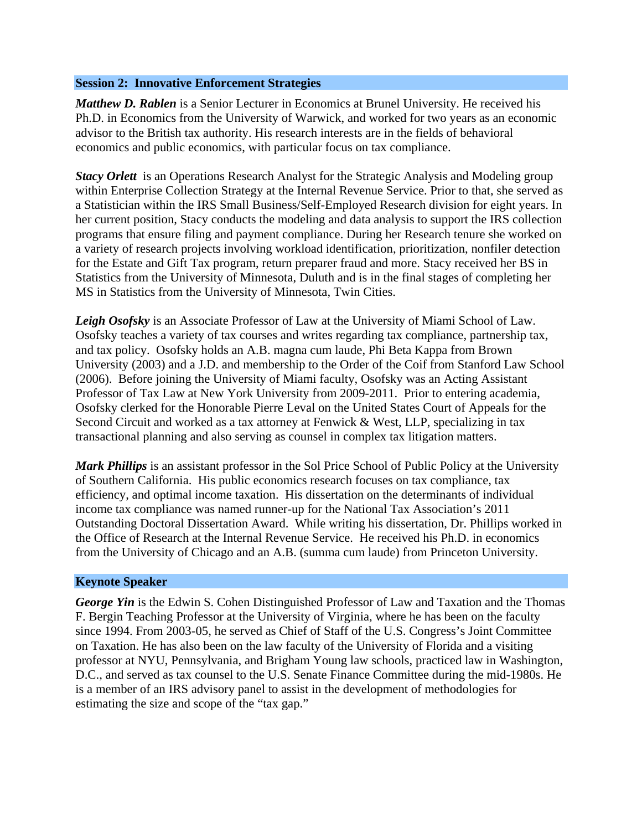### **Session 2: Innovative Enforcement Strategies**

*Matthew D. Rablen* is a Senior Lecturer in Economics at Brunel University. He received his Ph.D. in Economics from the University of Warwick, and worked for two years as an economic advisor to the British tax authority. His research interests are in the fields of behavioral economics and public economics, with particular focus on tax compliance.

*Stacy Orlett* is an Operations Research Analyst for the Strategic Analysis and Modeling group within Enterprise Collection Strategy at the Internal Revenue Service. Prior to that, she served as a Statistician within the IRS Small Business/Self-Employed Research division for eight years. In her current position, Stacy conducts the modeling and data analysis to support the IRS collection programs that ensure filing and payment compliance. During her Research tenure she worked on a variety of research projects involving workload identification, prioritization, nonfiler detection for the Estate and Gift Tax program, return preparer fraud and more. Stacy received her BS in Statistics from the University of Minnesota, Duluth and is in the final stages of completing her MS in Statistics from the University of Minnesota, Twin Cities.

*Leigh Osofsky* is an Associate Professor of Law at the University of Miami School of Law. Osofsky teaches a variety of tax courses and writes regarding tax compliance, partnership tax, and tax policy. Osofsky holds an A.B. magna cum laude, Phi Beta Kappa from Brown University (2003) and a J.D. and membership to the Order of the Coif from Stanford Law School (2006). Before joining the University of Miami faculty, Osofsky was an Acting Assistant Professor of Tax Law at New York University from 2009-2011. Prior to entering academia, Osofsky clerked for the Honorable Pierre Leval on the United States Court of Appeals for the Second Circuit and worked as a tax attorney at Fenwick & West, LLP, specializing in tax transactional planning and also serving as counsel in complex tax litigation matters.

*Mark Phillips* is an assistant professor in the Sol Price School of Public Policy at the University of Southern California. His public economics research focuses on tax compliance, tax efficiency, and optimal income taxation. His dissertation on the determinants of individual income tax compliance was named runner-up for the National Tax Association's 2011 Outstanding Doctoral Dissertation Award. While writing his dissertation, Dr. Phillips worked in the Office of Research at the Internal Revenue Service. He received his Ph.D. in economics from the University of Chicago and an A.B. (summa cum laude) from Princeton University.

# **Keynote Speaker**

*George Yin* is the Edwin S. Cohen Distinguished Professor of Law and Taxation and the Thomas F. Bergin Teaching Professor at the University of Virginia, where he has been on the faculty since 1994. From 2003-05, he served as Chief of Staff of the U.S. Congress's Joint Committee on Taxation. He has also been on the law faculty of the University of Florida and a visiting professor at NYU, Pennsylvania, and Brigham Young law schools, practiced law in Washington, D.C., and served as tax counsel to the U.S. Senate Finance Committee during the mid-1980s. He is a member of an IRS advisory panel to assist in the development of methodologies for estimating the size and scope of the "tax gap."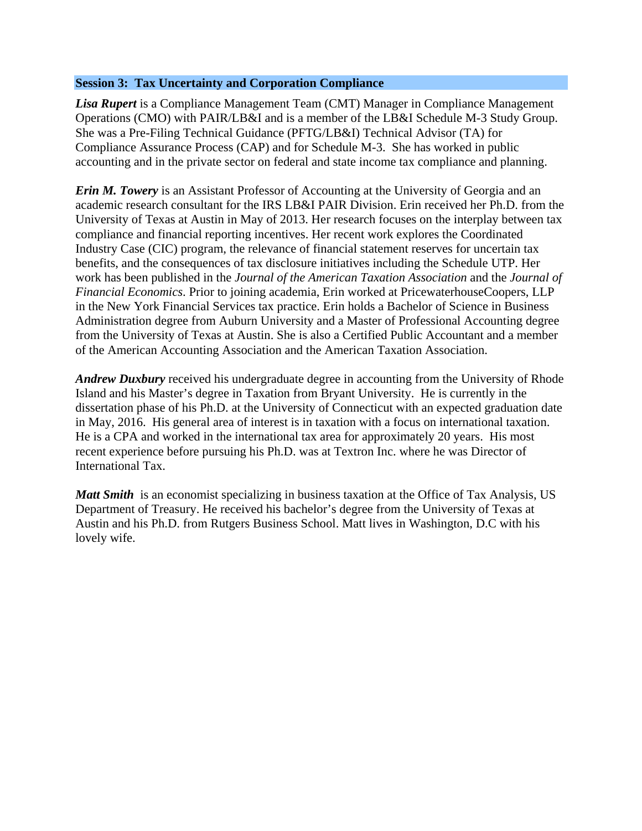# **Session 3: Tax Uncertainty and Corporation Compliance**

*Lisa Rupert* is a Compliance Management Team (CMT) Manager in Compliance Management Operations (CMO) with PAIR/LB&I and is a member of the LB&I Schedule M-3 Study Group. She was a Pre-Filing Technical Guidance (PFTG/LB&I) Technical Advisor (TA) for Compliance Assurance Process (CAP) and for Schedule M-3. She has worked in public accounting and in the private sector on federal and state income tax compliance and planning.

*Erin M. Towery* is an Assistant Professor of Accounting at the University of Georgia and an academic research consultant for the IRS LB&I PAIR Division. Erin received her Ph.D. from the University of Texas at Austin in May of 2013. Her research focuses on the interplay between tax compliance and financial reporting incentives. Her recent work explores the Coordinated Industry Case (CIC) program, the relevance of financial statement reserves for uncertain tax benefits, and the consequences of tax disclosure initiatives including the Schedule UTP. Her work has been published in the *Journal of the American Taxation Association* and the *Journal of Financial Economics*. Prior to joining academia, Erin worked at PricewaterhouseCoopers, LLP in the New York Financial Services tax practice. Erin holds a Bachelor of Science in Business Administration degree from Auburn University and a Master of Professional Accounting degree from the University of Texas at Austin. She is also a Certified Public Accountant and a member of the American Accounting Association and the American Taxation Association.

*Andrew Duxbury* received his undergraduate degree in accounting from the University of Rhode Island and his Master's degree in Taxation from Bryant University. He is currently in the dissertation phase of his Ph.D. at the University of Connecticut with an expected graduation date in May, 2016. His general area of interest is in taxation with a focus on international taxation. He is a CPA and worked in the international tax area for approximately 20 years. His most recent experience before pursuing his Ph.D. was at Textron Inc. where he was Director of International Tax.

*Matt Smith* is an economist specializing in business taxation at the Office of Tax Analysis, US Department of Treasury. He received his bachelor's degree from the University of Texas at Austin and his Ph.D. from Rutgers Business School. Matt lives in Washington, D.C with his lovely wife.